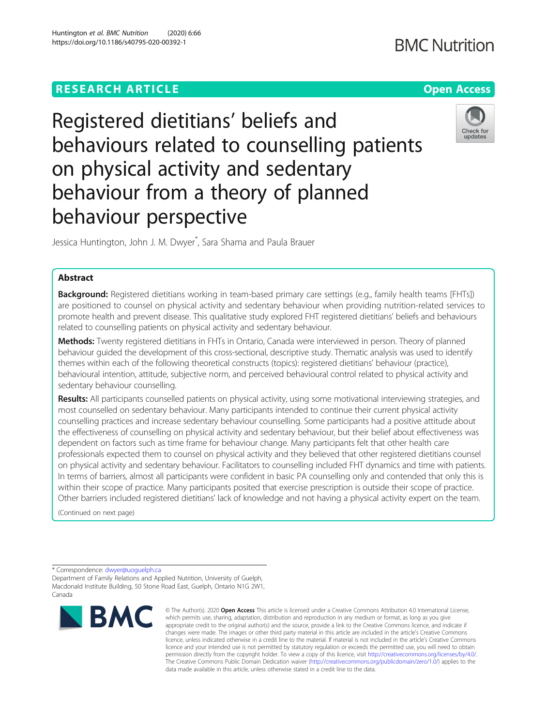# **RESEARCH ARTICLE Example 2014 12:30 The Contract of Contract ACCESS**

# Registered dietitians' beliefs and behaviours related to counselling patients on physical activity and sedentary behaviour from a theory of planned behaviour perspective

Jessica Huntington, John J. M. Dwyer\* , Sara Shama and Paula Brauer

# Abstract

Background: Registered dietitians working in team-based primary care settings (e.g., family health teams [FHTs]) are positioned to counsel on physical activity and sedentary behaviour when providing nutrition-related services to promote health and prevent disease. This qualitative study explored FHT registered dietitians' beliefs and behaviours related to counselling patients on physical activity and sedentary behaviour.

Methods: Twenty registered dietitians in FHTs in Ontario, Canada were interviewed in person. Theory of planned behaviour guided the development of this cross-sectional, descriptive study. Thematic analysis was used to identify themes within each of the following theoretical constructs (topics): registered dietitians' behaviour (practice), behavioural intention, attitude, subjective norm, and perceived behavioural control related to physical activity and sedentary behaviour counselling.

Results: All participants counselled patients on physical activity, using some motivational interviewing strategies, and most counselled on sedentary behaviour. Many participants intended to continue their current physical activity counselling practices and increase sedentary behaviour counselling. Some participants had a positive attitude about the effectiveness of counselling on physical activity and sedentary behaviour, but their belief about effectiveness was dependent on factors such as time frame for behaviour change. Many participants felt that other health care professionals expected them to counsel on physical activity and they believed that other registered dietitians counsel on physical activity and sedentary behaviour. Facilitators to counselling included FHT dynamics and time with patients. In terms of barriers, almost all participants were confident in basic PA counselling only and contended that only this is within their scope of practice. Many participants posited that exercise prescription is outside their scope of practice. Other barriers included registered dietitians' lack of knowledge and not having a physical activity expert on the team.

(Continued on next page)

\* Correspondence: [dwyer@uoguelph.ca](mailto:dwyer@uoguelph.ca)

Department of Family Relations and Applied Nutrition, University of Guelph, Macdonald Institute Building, 50 Stone Road East, Guelph, Ontario N1G 2W1, Canada



<sup>©</sup> The Author(s), 2020 **Open Access** This article is licensed under a Creative Commons Attribution 4.0 International License, which permits use, sharing, adaptation, distribution and reproduction in any medium or format, as long as you give appropriate credit to the original author(s) and the source, provide a link to the Creative Commons licence, and indicate if changes were made. The images or other third party material in this article are included in the article's Creative Commons licence, unless indicated otherwise in a credit line to the material. If material is not included in the article's Creative Commons licence and your intended use is not permitted by statutory regulation or exceeds the permitted use, you will need to obtain permission directly from the copyright holder. To view a copy of this licence, visit [http://creativecommons.org/licenses/by/4.0/.](http://creativecommons.org/licenses/by/4.0/) The Creative Commons Public Domain Dedication waiver [\(http://creativecommons.org/publicdomain/zero/1.0/](http://creativecommons.org/publicdomain/zero/1.0/)) applies to the data made available in this article, unless otherwise stated in a credit line to the data.



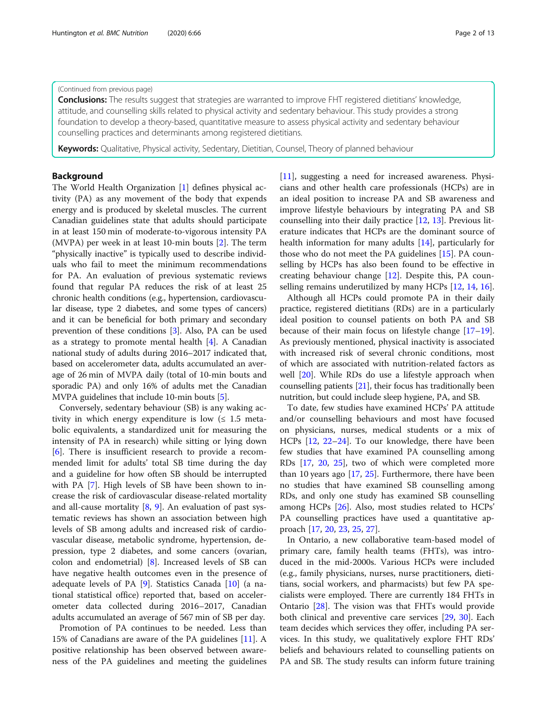# (Continued from previous page)

**Conclusions:** The results suggest that strategies are warranted to improve FHT registered dietitians' knowledge, attitude, and counselling skills related to physical activity and sedentary behaviour. This study provides a strong foundation to develop a theory-based, quantitative measure to assess physical activity and sedentary behaviour counselling practices and determinants among registered dietitians.

Keywords: Qualitative, Physical activity, Sedentary, Dietitian, Counsel, Theory of planned behaviour

#### Background

The World Health Organization [[1\]](#page-10-0) defines physical activity (PA) as any movement of the body that expends energy and is produced by skeletal muscles. The current Canadian guidelines state that adults should participate in at least 150 min of moderate-to-vigorous intensity PA (MVPA) per week in at least 10-min bouts [[2](#page-10-0)]. The term "physically inactive" is typically used to describe individuals who fail to meet the minimum recommendations for PA. An evaluation of previous systematic reviews found that regular PA reduces the risk of at least 25 chronic health conditions (e.g., hypertension, cardiovascular disease, type 2 diabetes, and some types of cancers) and it can be beneficial for both primary and secondary prevention of these conditions [[3\]](#page-10-0). Also, PA can be used as a strategy to promote mental health [\[4](#page-10-0)]. A Canadian national study of adults during 2016–2017 indicated that, based on accelerometer data, adults accumulated an average of 26 min of MVPA daily (total of 10-min bouts and sporadic PA) and only 16% of adults met the Canadian MVPA guidelines that include 10-min bouts [[5](#page-10-0)].

Conversely, sedentary behaviour (SB) is any waking activity in which energy expenditure is low  $( \leq 1.5 \text{ meta-}$ bolic equivalents, a standardized unit for measuring the intensity of PA in research) while sitting or lying down [[6\]](#page-11-0). There is insufficient research to provide a recommended limit for adults' total SB time during the day and a guideline for how often SB should be interrupted with PA [\[7](#page-11-0)]. High levels of SB have been shown to increase the risk of cardiovascular disease-related mortality and all-cause mortality [[8,](#page-11-0) [9](#page-11-0)]. An evaluation of past systematic reviews has shown an association between high levels of SB among adults and increased risk of cardiovascular disease, metabolic syndrome, hypertension, depression, type 2 diabetes, and some cancers (ovarian, colon and endometrial) [\[8](#page-11-0)]. Increased levels of SB can have negative health outcomes even in the presence of adequate levels of PA [[9\]](#page-11-0). Statistics Canada [\[10](#page-11-0)] (a national statistical office) reported that, based on accelerometer data collected during 2016–2017, Canadian adults accumulated an average of 567 min of SB per day.

Promotion of PA continues to be needed. Less than 15% of Canadians are aware of the PA guidelines [\[11](#page-11-0)]. A positive relationship has been observed between awareness of the PA guidelines and meeting the guidelines [[11\]](#page-11-0), suggesting a need for increased awareness. Physicians and other health care professionals (HCPs) are in an ideal position to increase PA and SB awareness and improve lifestyle behaviours by integrating PA and SB counselling into their daily practice [[12,](#page-11-0) [13\]](#page-11-0). Previous literature indicates that HCPs are the dominant source of health information for many adults [\[14\]](#page-11-0), particularly for those who do not meet the PA guidelines [\[15](#page-11-0)]. PA counselling by HCPs has also been found to be effective in creating behaviour change [\[12](#page-11-0)]. Despite this, PA counselling remains underutilized by many HCPs [\[12](#page-11-0), [14](#page-11-0), [16](#page-11-0)].

Although all HCPs could promote PA in their daily practice, registered dietitians (RDs) are in a particularly ideal position to counsel patients on both PA and SB because of their main focus on lifestyle change [[17](#page-11-0)–[19](#page-11-0)]. As previously mentioned, physical inactivity is associated with increased risk of several chronic conditions, most of which are associated with nutrition-related factors as well [[20](#page-11-0)]. While RDs do use a lifestyle approach when counselling patients [\[21\]](#page-11-0), their focus has traditionally been nutrition, but could include sleep hygiene, PA, and SB.

To date, few studies have examined HCPs' PA attitude and/or counselling behaviours and most have focused on physicians, nurses, medical students or a mix of HCPs [[12](#page-11-0), [22](#page-11-0)–[24](#page-11-0)]. To our knowledge, there have been few studies that have examined PA counselling among RDs [[17,](#page-11-0) [20](#page-11-0), [25](#page-11-0)], two of which were completed more than 10 years ago  $[17, 25]$  $[17, 25]$  $[17, 25]$  $[17, 25]$ . Furthermore, there have been no studies that have examined SB counselling among RDs, and only one study has examined SB counselling among HCPs [[26](#page-11-0)]. Also, most studies related to HCPs' PA counselling practices have used a quantitative approach [[17,](#page-11-0) [20,](#page-11-0) [23,](#page-11-0) [25,](#page-11-0) [27](#page-11-0)].

In Ontario, a new collaborative team-based model of primary care, family health teams (FHTs), was introduced in the mid-2000s. Various HCPs were included (e.g., family physicians, nurses, nurse practitioners, dietitians, social workers, and pharmacists) but few PA specialists were employed. There are currently 184 FHTs in Ontario [\[28\]](#page-11-0). The vision was that FHTs would provide both clinical and preventive care services [\[29,](#page-11-0) [30\]](#page-11-0). Each team decides which services they offer, including PA services. In this study, we qualitatively explore FHT RDs' beliefs and behaviours related to counselling patients on PA and SB. The study results can inform future training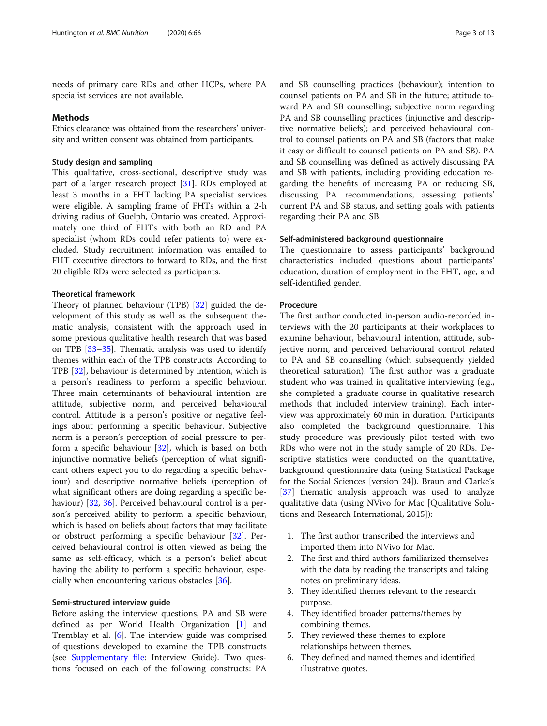needs of primary care RDs and other HCPs, where PA specialist services are not available.

# **Methods**

Ethics clearance was obtained from the researchers' university and written consent was obtained from participants.

#### Study design and sampling

This qualitative, cross-sectional, descriptive study was part of a larger research project [\[31\]](#page-11-0). RDs employed at least 3 months in a FHT lacking PA specialist services were eligible. A sampling frame of FHTs within a 2-h driving radius of Guelph, Ontario was created. Approximately one third of FHTs with both an RD and PA specialist (whom RDs could refer patients to) were excluded. Study recruitment information was emailed to FHT executive directors to forward to RDs, and the first 20 eligible RDs were selected as participants.

#### Theoretical framework

Theory of planned behaviour (TPB) [[32\]](#page-11-0) guided the development of this study as well as the subsequent thematic analysis, consistent with the approach used in some previous qualitative health research that was based on TPB [\[33](#page-11-0)–[35\]](#page-11-0). Thematic analysis was used to identify themes within each of the TPB constructs. According to TPB [[32\]](#page-11-0), behaviour is determined by intention, which is a person's readiness to perform a specific behaviour. Three main determinants of behavioural intention are attitude, subjective norm, and perceived behavioural control. Attitude is a person's positive or negative feelings about performing a specific behaviour. Subjective norm is a person's perception of social pressure to perform a specific behaviour  $[32]$  $[32]$ , which is based on both injunctive normative beliefs (perception of what significant others expect you to do regarding a specific behaviour) and descriptive normative beliefs (perception of what significant others are doing regarding a specific be-haviour) [\[32,](#page-11-0) [36](#page-11-0)]. Perceived behavioural control is a person's perceived ability to perform a specific behaviour, which is based on beliefs about factors that may facilitate or obstruct performing a specific behaviour [\[32](#page-11-0)]. Perceived behavioural control is often viewed as being the same as self-efficacy, which is a person's belief about having the ability to perform a specific behaviour, especially when encountering various obstacles [\[36](#page-11-0)].

# Semi-structured interview guide

Before asking the interview questions, PA and SB were defined as per World Health Organization [\[1](#page-10-0)] and Tremblay et al. [\[6](#page-11-0)]. The interview guide was comprised of questions developed to examine the TPB constructs (see [Supplementary file](#page-10-0): Interview Guide). Two questions focused on each of the following constructs: PA and SB counselling practices (behaviour); intention to counsel patients on PA and SB in the future; attitude toward PA and SB counselling; subjective norm regarding PA and SB counselling practices (injunctive and descriptive normative beliefs); and perceived behavioural control to counsel patients on PA and SB (factors that make it easy or difficult to counsel patients on PA and SB). PA and SB counselling was defined as actively discussing PA and SB with patients, including providing education regarding the benefits of increasing PA or reducing SB, discussing PA recommendations, assessing patients' current PA and SB status, and setting goals with patients regarding their PA and SB.

# Self-administered background questionnaire

The questionnaire to assess participants' background characteristics included questions about participants' education, duration of employment in the FHT, age, and self-identified gender.

#### Procedure

The first author conducted in-person audio-recorded interviews with the 20 participants at their workplaces to examine behaviour, behavioural intention, attitude, subjective norm, and perceived behavioural control related to PA and SB counselling (which subsequently yielded theoretical saturation). The first author was a graduate student who was trained in qualitative interviewing (e.g., she completed a graduate course in qualitative research methods that included interview training). Each interview was approximately 60 min in duration. Participants also completed the background questionnaire. This study procedure was previously pilot tested with two RDs who were not in the study sample of 20 RDs. Descriptive statistics were conducted on the quantitative, background questionnaire data (using Statistical Package for the Social Sciences [version 24]). Braun and Clarke's [[37\]](#page-11-0) thematic analysis approach was used to analyze qualitative data (using NVivo for Mac [Qualitative Solutions and Research International, 2015]):

- 1. The first author transcribed the interviews and imported them into NVivo for Mac.
- 2. The first and third authors familiarized themselves with the data by reading the transcripts and taking notes on preliminary ideas.
- 3. They identified themes relevant to the research purpose.
- 4. They identified broader patterns/themes by combining themes.
- 5. They reviewed these themes to explore relationships between themes.
- 6. They defined and named themes and identified illustrative quotes.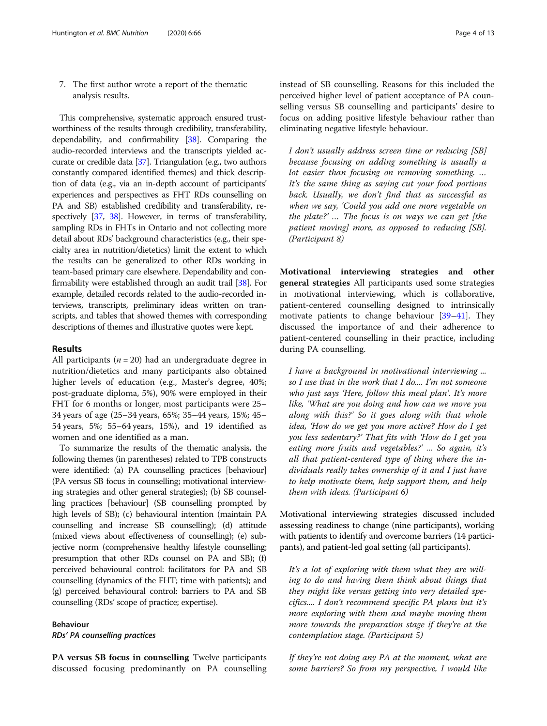# 7. The first author wrote a report of the thematic analysis results.

This comprehensive, systematic approach ensured trustworthiness of the results through credibility, transferability, dependability, and confirmability [[38](#page-11-0)]. Comparing the audio-recorded interviews and the transcripts yielded accurate or credible data [\[37\]](#page-11-0). Triangulation (e.g., two authors constantly compared identified themes) and thick description of data (e.g., via an in-depth account of participants' experiences and perspectives as FHT RDs counselling on PA and SB) established credibility and transferability, re-spectively [[37,](#page-11-0) [38\]](#page-11-0). However, in terms of transferability, sampling RDs in FHTs in Ontario and not collecting more detail about RDs' background characteristics (e.g., their specialty area in nutrition/dietetics) limit the extent to which the results can be generalized to other RDs working in team-based primary care elsewhere. Dependability and confirmability were established through an audit trail [\[38\]](#page-11-0). For example, detailed records related to the audio-recorded interviews, transcripts, preliminary ideas written on transcripts, and tables that showed themes with corresponding descriptions of themes and illustrative quotes were kept.

# Results

All participants ( $n = 20$ ) had an undergraduate degree in nutrition/dietetics and many participants also obtained higher levels of education (e.g., Master's degree, 40%; post-graduate diploma, 5%), 90% were employed in their FHT for 6 months or longer, most participants were 25– 34 years of age (25–34 years, 65%; 35–44 years, 15%; 45– 54 years, 5%; 55–64 years, 15%), and 19 identified as women and one identified as a man.

To summarize the results of the thematic analysis, the following themes (in parentheses) related to TPB constructs were identified: (a) PA counselling practices [behaviour] (PA versus SB focus in counselling; motivational interviewing strategies and other general strategies); (b) SB counselling practices [behaviour] (SB counselling prompted by high levels of SB); (c) behavioural intention (maintain PA counselling and increase SB counselling); (d) attitude (mixed views about effectiveness of counselling); (e) subjective norm (comprehensive healthy lifestyle counselling; presumption that other RDs counsel on PA and SB); (f) perceived behavioural control: facilitators for PA and SB counselling (dynamics of the FHT; time with patients); and (g) perceived behavioural control: barriers to PA and SB counselling (RDs' scope of practice; expertise).

# Behaviour

RDs' PA counselling practices

PA versus SB focus in counselling Twelve participants discussed focusing predominantly on PA counselling instead of SB counselling. Reasons for this included the perceived higher level of patient acceptance of PA counselling versus SB counselling and participants' desire to focus on adding positive lifestyle behaviour rather than eliminating negative lifestyle behaviour.

I don't usually address screen time or reducing [SB] because focusing on adding something is usually a lot easier than focusing on removing something. … It's the same thing as saying cut your food portions back. Usually, we don't find that as successful as when we say, 'Could you add one more vegetable on the plate?' … The focus is on ways we can get [the patient moving] more, as opposed to reducing [SB]. (Participant 8)

Motivational interviewing strategies and other general strategies All participants used some strategies in motivational interviewing, which is collaborative, patient-centered counselling designed to intrinsically motivate patients to change behaviour [\[39](#page-11-0)–[41\]](#page-11-0). They discussed the importance of and their adherence to patient-centered counselling in their practice, including during PA counselling.

I have a background in motivational interviewing ... so I use that in the work that I do.... I'm not someone who just says 'Here, follow this meal plan'. It's more like, 'What are you doing and how can we move you along with this?' So it goes along with that whole idea, 'How do we get you more active? How do I get you less sedentary?' That fits with 'How do I get you eating more fruits and vegetables?' ... So again, it's all that patient-centered type of thing where the individuals really takes ownership of it and I just have to help motivate them, help support them, and help them with ideas. (Participant 6)

Motivational interviewing strategies discussed included assessing readiness to change (nine participants), working with patients to identify and overcome barriers (14 participants), and patient-led goal setting (all participants).

It's a lot of exploring with them what they are willing to do and having them think about things that they might like versus getting into very detailed specifics.... I don't recommend specific PA plans but it's more exploring with them and maybe moving them more towards the preparation stage if they're at the contemplation stage. (Participant 5)

If they're not doing any PA at the moment, what are some barriers? So from my perspective, I would like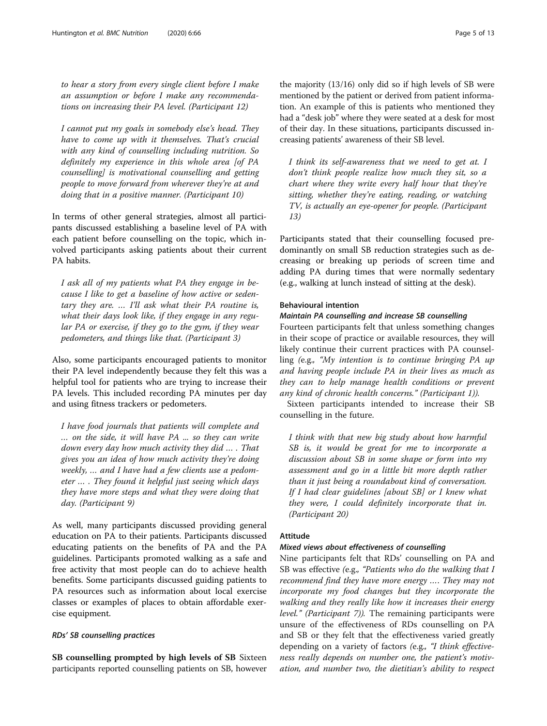to hear a story from every single client before I make an assumption or before I make any recommendations on increasing their PA level. (Participant 12)

I cannot put my goals in somebody else's head. They have to come up with it themselves. That's crucial with any kind of counselling including nutrition. So definitely my experience in this whole area [of PA counselling] is motivational counselling and getting people to move forward from wherever they're at and doing that in a positive manner. (Participant 10)

In terms of other general strategies, almost all participants discussed establishing a baseline level of PA with each patient before counselling on the topic, which involved participants asking patients about their current PA habits.

I ask all of my patients what PA they engage in because I like to get a baseline of how active or sedentary they are. ... I'll ask what their PA routine is, what their days look like, if they engage in any regular PA or exercise, if they go to the gym, if they wear pedometers, and things like that. (Participant 3)

Also, some participants encouraged patients to monitor their PA level independently because they felt this was a helpful tool for patients who are trying to increase their PA levels. This included recording PA minutes per day and using fitness trackers or pedometers.

I have food journals that patients will complete and … on the side, it will have PA ... so they can write down every day how much activity they did … . That gives you an idea of how much activity they're doing weekly, … and I have had a few clients use a pedometer … . They found it helpful just seeing which days they have more steps and what they were doing that day. (Participant 9)

As well, many participants discussed providing general education on PA to their patients. Participants discussed educating patients on the benefits of PA and the PA guidelines. Participants promoted walking as a safe and free activity that most people can do to achieve health benefits. Some participants discussed guiding patients to PA resources such as information about local exercise classes or examples of places to obtain affordable exercise equipment.

## RDs' SB counselling practices

SB counselling prompted by high levels of SB Sixteen participants reported counselling patients on SB, however

the majority (13/16) only did so if high levels of SB were mentioned by the patient or derived from patient information. An example of this is patients who mentioned they had a "desk job" where they were seated at a desk for most of their day. In these situations, participants discussed increasing patients' awareness of their SB level.

I think its self-awareness that we need to get at. I don't think people realize how much they sit, so a chart where they write every half hour that they're sitting, whether they're eating, reading, or watching TV, is actually an eye-opener for people. (Participant 13)

Participants stated that their counselling focused predominantly on small SB reduction strategies such as decreasing or breaking up periods of screen time and adding PA during times that were normally sedentary (e.g., walking at lunch instead of sitting at the desk).

# Behavioural intention

# Maintain PA counselling and increase SB counselling

Fourteen participants felt that unless something changes in their scope of practice or available resources, they will likely continue their current practices with PA counselling (e.g., "My intention is to continue bringing PA up and having people include PA in their lives as much as they can to help manage health conditions or prevent any kind of chronic health concerns." (Participant 1)).

Sixteen participants intended to increase their SB counselling in the future.

I think with that new big study about how harmful SB is, it would be great for me to incorporate a discussion about SB in some shape or form into my assessment and go in a little bit more depth rather than it just being a roundabout kind of conversation. If I had clear guidelines [about SB] or I knew what they were, I could definitely incorporate that in. (Participant 20)

#### Attitude

# Mixed views about effectiveness of counselling

Nine participants felt that RDs' counselling on PA and SB was effective (e.g., "Patients who do the walking that I recommend find they have more energy …. They may not incorporate my food changes but they incorporate the walking and they really like how it increases their energy level." (Participant 7)). The remaining participants were unsure of the effectiveness of RDs counselling on PA and SB or they felt that the effectiveness varied greatly depending on a variety of factors (e.g., "I think effectiveness really depends on number one, the patient's motivation, and number two, the dietitian's ability to respect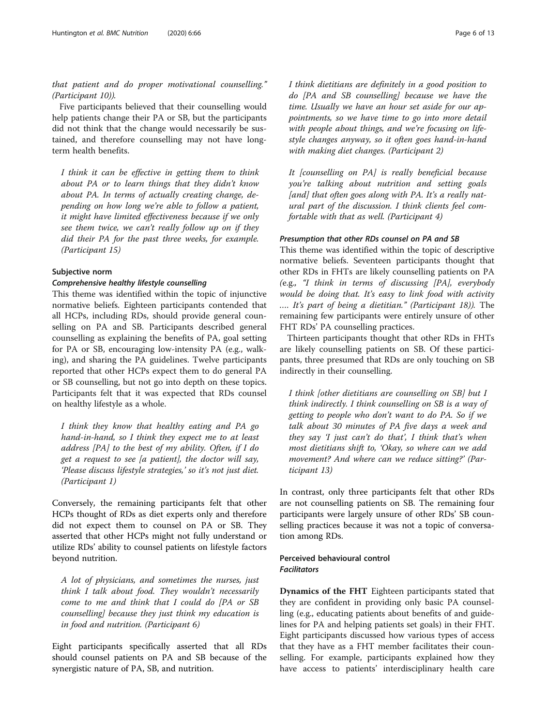that patient and do proper motivational counselling." (Participant 10)).

Five participants believed that their counselling would help patients change their PA or SB, but the participants did not think that the change would necessarily be sustained, and therefore counselling may not have longterm health benefits.

I think it can be effective in getting them to think about PA or to learn things that they didn't know about PA. In terms of actually creating change, depending on how long we're able to follow a patient, it might have limited effectiveness because if we only see them twice, we can't really follow up on if they did their PA for the past three weeks, for example. (Participant 15)

#### Subjective norm

#### Comprehensive healthy lifestyle counselling

This theme was identified within the topic of injunctive normative beliefs. Eighteen participants contended that all HCPs, including RDs, should provide general counselling on PA and SB. Participants described general counselling as explaining the benefits of PA, goal setting for PA or SB, encouraging low-intensity PA (e.g., walking), and sharing the PA guidelines. Twelve participants reported that other HCPs expect them to do general PA or SB counselling, but not go into depth on these topics. Participants felt that it was expected that RDs counsel on healthy lifestyle as a whole.

I think they know that healthy eating and PA go hand-in-hand, so I think they expect me to at least address [PA] to the best of my ability. Often, if I do get a request to see [a patient], the doctor will say, 'Please discuss lifestyle strategies,' so it's not just diet. (Participant 1)

Conversely, the remaining participants felt that other HCPs thought of RDs as diet experts only and therefore did not expect them to counsel on PA or SB. They asserted that other HCPs might not fully understand or utilize RDs' ability to counsel patients on lifestyle factors beyond nutrition.

A lot of physicians, and sometimes the nurses, just think I talk about food. They wouldn't necessarily come to me and think that I could do [PA or SB counselling] because they just think my education is in food and nutrition. (Participant 6)

Eight participants specifically asserted that all RDs should counsel patients on PA and SB because of the synergistic nature of PA, SB, and nutrition.

I think dietitians are definitely in a good position to do [PA and SB counselling] because we have the time. Usually we have an hour set aside for our appointments, so we have time to go into more detail with people about things, and we're focusing on lifestyle changes anyway, so it often goes hand-in-hand with making diet changes. (Participant 2)

It [counselling on PA] is really beneficial because you're talking about nutrition and setting goals [and] that often goes along with PA. It's a really natural part of the discussion. I think clients feel comfortable with that as well. (Participant 4)

# Presumption that other RDs counsel on PA and SB

This theme was identified within the topic of descriptive normative beliefs. Seventeen participants thought that other RDs in FHTs are likely counselling patients on PA (e.g., "I think in terms of discussing [PA], everybody would be doing that. It's easy to link food with activity …. It's part of being a dietitian." (Participant 18)). The remaining few participants were entirely unsure of other FHT RDs' PA counselling practices.

Thirteen participants thought that other RDs in FHTs are likely counselling patients on SB. Of these participants, three presumed that RDs are only touching on SB indirectly in their counselling.

I think [other dietitians are counselling on SB] but I think indirectly. I think counselling on SB is a way of getting to people who don't want to do PA. So if we talk about 30 minutes of PA five days a week and they say 'I just can't do that', I think that's when most dietitians shift to, 'Okay, so where can we add movement? And where can we reduce sitting?' (Participant 13)

In contrast, only three participants felt that other RDs are not counselling patients on SB. The remaining four participants were largely unsure of other RDs' SB counselling practices because it was not a topic of conversation among RDs.

# Perceived behavioural control Facilitators

Dynamics of the FHT Eighteen participants stated that they are confident in providing only basic PA counselling (e.g., educating patients about benefits of and guidelines for PA and helping patients set goals) in their FHT. Eight participants discussed how various types of access that they have as a FHT member facilitates their counselling. For example, participants explained how they have access to patients' interdisciplinary health care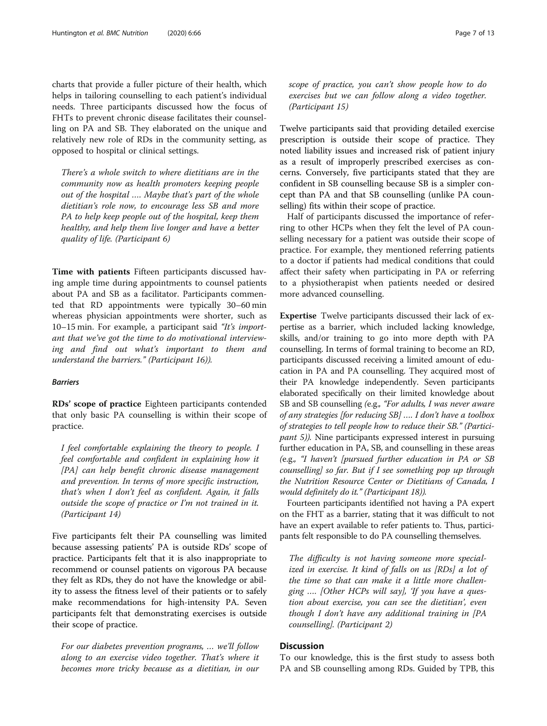charts that provide a fuller picture of their health, which helps in tailoring counselling to each patient's individual needs. Three participants discussed how the focus of FHTs to prevent chronic disease facilitates their counselling on PA and SB. They elaborated on the unique and relatively new role of RDs in the community setting, as opposed to hospital or clinical settings.

There's a whole switch to where dietitians are in the community now as health promoters keeping people out of the hospital …. Maybe that's part of the whole dietitian's role now, to encourage less SB and more PA to help keep people out of the hospital, keep them healthy, and help them live longer and have a better quality of life. (Participant 6)

Time with patients Fifteen participants discussed having ample time during appointments to counsel patients about PA and SB as a facilitator. Participants commented that RD appointments were typically 30–60 min whereas physician appointments were shorter, such as 10–15 min. For example, a participant said "It's important that we've got the time to do motivational interviewing and find out what's important to them and understand the barriers." (Participant 16)).

#### Barriers

RDs' scope of practice Eighteen participants contended that only basic PA counselling is within their scope of practice.

I feel comfortable explaining the theory to people. I feel comfortable and confident in explaining how it [PA] can help benefit chronic disease management and prevention. In terms of more specific instruction, that's when I don't feel as confident. Again, it falls outside the scope of practice or I'm not trained in it. (Participant 14)

Five participants felt their PA counselling was limited because assessing patients' PA is outside RDs' scope of practice. Participants felt that it is also inappropriate to recommend or counsel patients on vigorous PA because they felt as RDs, they do not have the knowledge or ability to assess the fitness level of their patients or to safely make recommendations for high-intensity PA. Seven participants felt that demonstrating exercises is outside their scope of practice.

For our diabetes prevention programs, … we'll follow along to an exercise video together. That's where it becomes more tricky because as a dietitian, in our scope of practice, you can't show people how to do exercises but we can follow along a video together. (Participant 15)

Twelve participants said that providing detailed exercise prescription is outside their scope of practice. They noted liability issues and increased risk of patient injury as a result of improperly prescribed exercises as concerns. Conversely, five participants stated that they are confident in SB counselling because SB is a simpler concept than PA and that SB counselling (unlike PA counselling) fits within their scope of practice.

Half of participants discussed the importance of referring to other HCPs when they felt the level of PA counselling necessary for a patient was outside their scope of practice. For example, they mentioned referring patients to a doctor if patients had medical conditions that could affect their safety when participating in PA or referring to a physiotherapist when patients needed or desired more advanced counselling.

Expertise Twelve participants discussed their lack of expertise as a barrier, which included lacking knowledge, skills, and/or training to go into more depth with PA counselling. In terms of formal training to become an RD, participants discussed receiving a limited amount of education in PA and PA counselling. They acquired most of their PA knowledge independently. Seven participants elaborated specifically on their limited knowledge about SB and SB counselling (e.g., "For adults, I was never aware of any strategies [for reducing SB] …. I don't have a toolbox of strategies to tell people how to reduce their SB." (Participant 5)). Nine participants expressed interest in pursuing further education in PA, SB, and counselling in these areas (e.g., "I haven't [pursued further education in PA or SB counselling] so far. But if I see something pop up through the Nutrition Resource Center or Dietitians of Canada, I would definitely do it." (Participant 18)).

Fourteen participants identified not having a PA expert on the FHT as a barrier, stating that it was difficult to not have an expert available to refer patients to. Thus, participants felt responsible to do PA counselling themselves.

The difficulty is not having someone more specialized in exercise. It kind of falls on us [RDs] a lot of the time so that can make it a little more challenging …. [Other HCPs will say], 'If you have a question about exercise, you can see the dietitian', even though I don't have any additional training in [PA counselling]. (Participant 2)

# **Discussion**

To our knowledge, this is the first study to assess both PA and SB counselling among RDs. Guided by TPB, this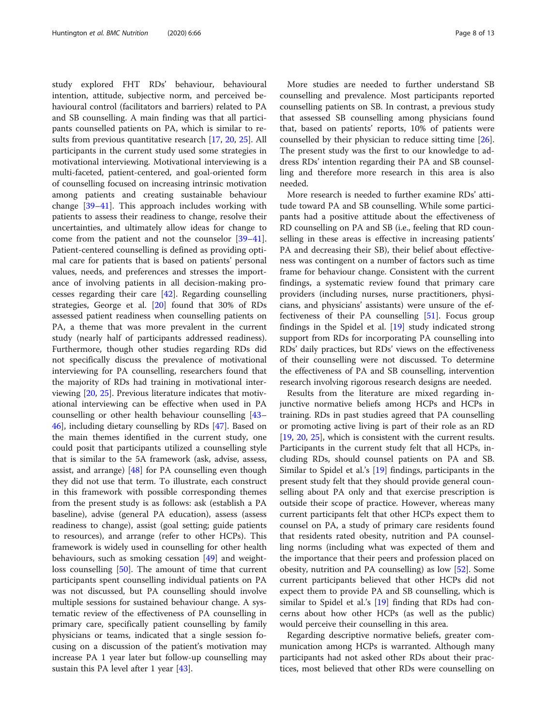study explored FHT RDs' behaviour, behavioural intention, attitude, subjective norm, and perceived behavioural control (facilitators and barriers) related to PA and SB counselling. A main finding was that all participants counselled patients on PA, which is similar to results from previous quantitative research [\[17](#page-11-0), [20](#page-11-0), [25](#page-11-0)]. All participants in the current study used some strategies in motivational interviewing. Motivational interviewing is a multi-faceted, patient-centered, and goal-oriented form of counselling focused on increasing intrinsic motivation among patients and creating sustainable behaviour change [[39](#page-11-0)–[41](#page-11-0)]. This approach includes working with patients to assess their readiness to change, resolve their uncertainties, and ultimately allow ideas for change to come from the patient and not the counselor [[39](#page-11-0)–[41](#page-11-0)]. Patient-centered counselling is defined as providing optimal care for patients that is based on patients' personal values, needs, and preferences and stresses the importance of involving patients in all decision-making processes regarding their care [\[42](#page-11-0)]. Regarding counselling strategies, George et al. [\[20](#page-11-0)] found that 30% of RDs assessed patient readiness when counselling patients on PA, a theme that was more prevalent in the current study (nearly half of participants addressed readiness). Furthermore, though other studies regarding RDs did not specifically discuss the prevalence of motivational interviewing for PA counselling, researchers found that the majority of RDs had training in motivational interviewing [[20,](#page-11-0) [25\]](#page-11-0). Previous literature indicates that motivational interviewing can be effective when used in PA counselling or other health behaviour counselling [[43](#page-11-0)– [46\]](#page-11-0), including dietary counselling by RDs [\[47](#page-11-0)]. Based on the main themes identified in the current study, one could posit that participants utilized a counselling style that is similar to the 5A framework (ask, advise, assess, assist, and arrange) [[48](#page-11-0)] for PA counselling even though they did not use that term. To illustrate, each construct in this framework with possible corresponding themes from the present study is as follows: ask (establish a PA baseline), advise (general PA education), assess (assess readiness to change), assist (goal setting; guide patients to resources), and arrange (refer to other HCPs). This framework is widely used in counselling for other health behaviours, such as smoking cessation [\[49](#page-11-0)] and weightloss counselling [[50\]](#page-11-0). The amount of time that current participants spent counselling individual patients on PA was not discussed, but PA counselling should involve multiple sessions for sustained behaviour change. A systematic review of the effectiveness of PA counselling in primary care, specifically patient counselling by family physicians or teams, indicated that a single session focusing on a discussion of the patient's motivation may increase PA 1 year later but follow-up counselling may sustain this PA level after 1 year  $[43]$  $[43]$ .

More studies are needed to further understand SB counselling and prevalence. Most participants reported counselling patients on SB. In contrast, a previous study that assessed SB counselling among physicians found that, based on patients' reports, 10% of patients were counselled by their physician to reduce sitting time [\[26](#page-11-0)]. The present study was the first to our knowledge to address RDs' intention regarding their PA and SB counselling and therefore more research in this area is also needed.

More research is needed to further examine RDs' attitude toward PA and SB counselling. While some participants had a positive attitude about the effectiveness of RD counselling on PA and SB (i.e., feeling that RD counselling in these areas is effective in increasing patients' PA and decreasing their SB), their belief about effectiveness was contingent on a number of factors such as time frame for behaviour change. Consistent with the current findings, a systematic review found that primary care providers (including nurses, nurse practitioners, physicians, and physicians' assistants) were unsure of the effectiveness of their PA counselling [[51\]](#page-11-0). Focus group findings in the Spidel et al. [[19\]](#page-11-0) study indicated strong support from RDs for incorporating PA counselling into RDs' daily practices, but RDs' views on the effectiveness of their counselling were not discussed. To determine the effectiveness of PA and SB counselling, intervention research involving rigorous research designs are needed.

Results from the literature are mixed regarding injunctive normative beliefs among HCPs and HCPs in training. RDs in past studies agreed that PA counselling or promoting active living is part of their role as an RD [[19,](#page-11-0) [20](#page-11-0), [25](#page-11-0)], which is consistent with the current results. Participants in the current study felt that all HCPs, including RDs, should counsel patients on PA and SB. Similar to Spidel et al.'s [[19\]](#page-11-0) findings, participants in the present study felt that they should provide general counselling about PA only and that exercise prescription is outside their scope of practice. However, whereas many current participants felt that other HCPs expect them to counsel on PA, a study of primary care residents found that residents rated obesity, nutrition and PA counselling norms (including what was expected of them and the importance that their peers and profession placed on obesity, nutrition and PA counselling) as low [\[52](#page-12-0)]. Some current participants believed that other HCPs did not expect them to provide PA and SB counselling, which is similar to Spidel et al.'s [[19\]](#page-11-0) finding that RDs had concerns about how other HCPs (as well as the public) would perceive their counselling in this area.

Regarding descriptive normative beliefs, greater communication among HCPs is warranted. Although many participants had not asked other RDs about their practices, most believed that other RDs were counselling on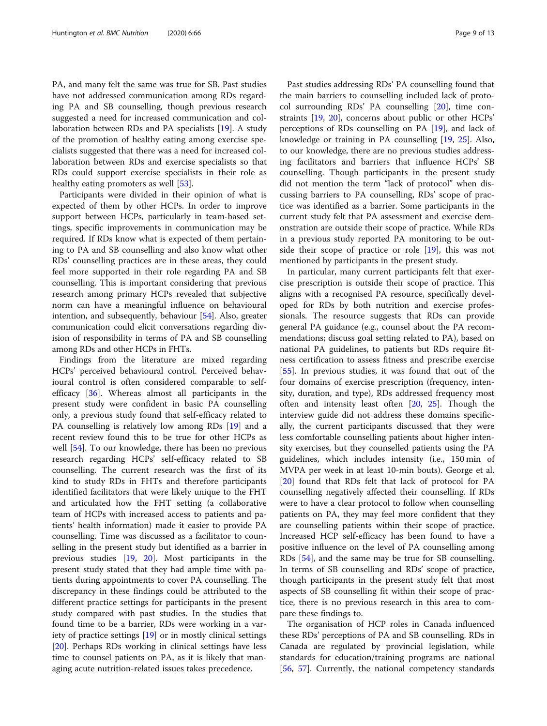PA, and many felt the same was true for SB. Past studies have not addressed communication among RDs regarding PA and SB counselling, though previous research suggested a need for increased communication and collaboration between RDs and PA specialists [[19\]](#page-11-0). A study of the promotion of healthy eating among exercise specialists suggested that there was a need for increased collaboration between RDs and exercise specialists so that RDs could support exercise specialists in their role as healthy eating promoters as well [[53](#page-12-0)].

Participants were divided in their opinion of what is expected of them by other HCPs. In order to improve support between HCPs, particularly in team-based settings, specific improvements in communication may be required. If RDs know what is expected of them pertaining to PA and SB counselling and also know what other RDs' counselling practices are in these areas, they could feel more supported in their role regarding PA and SB counselling. This is important considering that previous research among primary HCPs revealed that subjective norm can have a meaningful influence on behavioural intention, and subsequently, behaviour [[54](#page-12-0)]. Also, greater communication could elicit conversations regarding division of responsibility in terms of PA and SB counselling among RDs and other HCPs in FHTs.

Findings from the literature are mixed regarding HCPs' perceived behavioural control. Perceived behavioural control is often considered comparable to selfefficacy [\[36](#page-11-0)]. Whereas almost all participants in the present study were confident in basic PA counselling only, a previous study found that self-efficacy related to PA counselling is relatively low among RDs [[19\]](#page-11-0) and a recent review found this to be true for other HCPs as well [\[54](#page-12-0)]. To our knowledge, there has been no previous research regarding HCPs' self-efficacy related to SB counselling. The current research was the first of its kind to study RDs in FHTs and therefore participants identified facilitators that were likely unique to the FHT and articulated how the FHT setting (a collaborative team of HCPs with increased access to patients and patients' health information) made it easier to provide PA counselling. Time was discussed as a facilitator to counselling in the present study but identified as a barrier in previous studies [\[19](#page-11-0), [20](#page-11-0)]. Most participants in the present study stated that they had ample time with patients during appointments to cover PA counselling. The discrepancy in these findings could be attributed to the different practice settings for participants in the present study compared with past studies. In the studies that found time to be a barrier, RDs were working in a variety of practice settings [\[19\]](#page-11-0) or in mostly clinical settings [[20\]](#page-11-0). Perhaps RDs working in clinical settings have less time to counsel patients on PA, as it is likely that managing acute nutrition-related issues takes precedence.

Past studies addressing RDs' PA counselling found that the main barriers to counselling included lack of protocol surrounding RDs' PA counselling [[20](#page-11-0)], time constraints [[19,](#page-11-0) [20\]](#page-11-0), concerns about public or other HCPs' perceptions of RDs counselling on PA [[19](#page-11-0)], and lack of knowledge or training in PA counselling [[19,](#page-11-0) [25\]](#page-11-0). Also, to our knowledge, there are no previous studies addressing facilitators and barriers that influence HCPs' SB counselling. Though participants in the present study did not mention the term "lack of protocol" when discussing barriers to PA counselling, RDs' scope of practice was identified as a barrier. Some participants in the current study felt that PA assessment and exercise demonstration are outside their scope of practice. While RDs in a previous study reported PA monitoring to be outside their scope of practice or role [\[19\]](#page-11-0), this was not mentioned by participants in the present study.

In particular, many current participants felt that exercise prescription is outside their scope of practice. This aligns with a recognised PA resource, specifically developed for RDs by both nutrition and exercise professionals. The resource suggests that RDs can provide general PA guidance (e.g., counsel about the PA recommendations; discuss goal setting related to PA), based on national PA guidelines, to patients but RDs require fitness certification to assess fitness and prescribe exercise [[55\]](#page-12-0). In previous studies, it was found that out of the four domains of exercise prescription (frequency, intensity, duration, and type), RDs addressed frequency most often and intensity least often [\[20](#page-11-0), [25\]](#page-11-0). Though the interview guide did not address these domains specifically, the current participants discussed that they were less comfortable counselling patients about higher intensity exercises, but they counselled patients using the PA guidelines, which includes intensity (i.e., 150 min of MVPA per week in at least 10-min bouts). George et al. [[20\]](#page-11-0) found that RDs felt that lack of protocol for PA counselling negatively affected their counselling. If RDs were to have a clear protocol to follow when counselling patients on PA, they may feel more confident that they are counselling patients within their scope of practice. Increased HCP self-efficacy has been found to have a positive influence on the level of PA counselling among RDs [\[54](#page-12-0)], and the same may be true for SB counselling. In terms of SB counselling and RDs' scope of practice, though participants in the present study felt that most aspects of SB counselling fit within their scope of practice, there is no previous research in this area to compare these findings to.

The organisation of HCP roles in Canada influenced these RDs' perceptions of PA and SB counselling. RDs in Canada are regulated by provincial legislation, while standards for education/training programs are national [[56,](#page-12-0) [57](#page-12-0)]. Currently, the national competency standards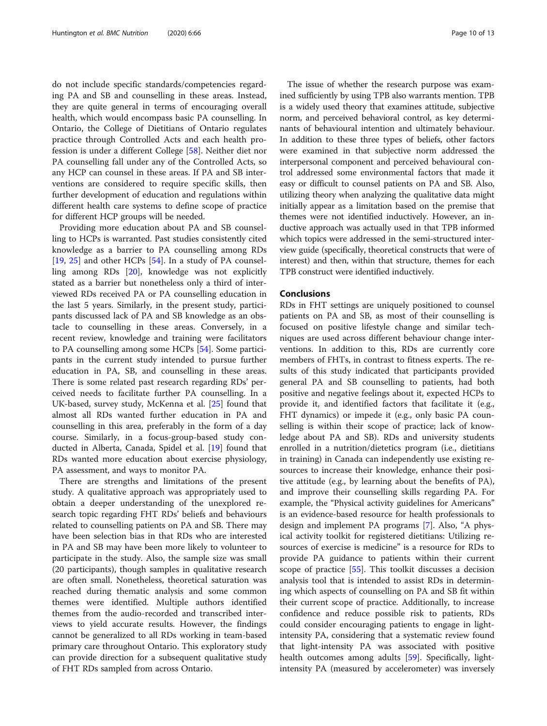do not include specific standards/competencies regarding PA and SB and counselling in these areas. Instead, they are quite general in terms of encouraging overall health, which would encompass basic PA counselling. In Ontario, the College of Dietitians of Ontario regulates practice through Controlled Acts and each health profession is under a different College [[58\]](#page-12-0). Neither diet nor PA counselling fall under any of the Controlled Acts, so any HCP can counsel in these areas. If PA and SB interventions are considered to require specific skills, then further development of education and regulations within different health care systems to define scope of practice for different HCP groups will be needed.

Providing more education about PA and SB counselling to HCPs is warranted. Past studies consistently cited knowledge as a barrier to PA counselling among RDs [[19,](#page-11-0) [25](#page-11-0)] and other HCPs [\[54\]](#page-12-0). In a study of PA counselling among RDs [[20\]](#page-11-0), knowledge was not explicitly stated as a barrier but nonetheless only a third of interviewed RDs received PA or PA counselling education in the last 5 years. Similarly, in the present study, participants discussed lack of PA and SB knowledge as an obstacle to counselling in these areas. Conversely, in a recent review, knowledge and training were facilitators to PA counselling among some HCPs [\[54](#page-12-0)]. Some participants in the current study intended to pursue further education in PA, SB, and counselling in these areas. There is some related past research regarding RDs' perceived needs to facilitate further PA counselling. In a UK-based, survey study, McKenna et al. [\[25](#page-11-0)] found that almost all RDs wanted further education in PA and counselling in this area, preferably in the form of a day course. Similarly, in a focus-group-based study conducted in Alberta, Canada, Spidel et al. [[19\]](#page-11-0) found that RDs wanted more education about exercise physiology, PA assessment, and ways to monitor PA.

There are strengths and limitations of the present study. A qualitative approach was appropriately used to obtain a deeper understanding of the unexplored research topic regarding FHT RDs' beliefs and behaviours related to counselling patients on PA and SB. There may have been selection bias in that RDs who are interested in PA and SB may have been more likely to volunteer to participate in the study. Also, the sample size was small (20 participants), though samples in qualitative research are often small. Nonetheless, theoretical saturation was reached during thematic analysis and some common themes were identified. Multiple authors identified themes from the audio-recorded and transcribed interviews to yield accurate results. However, the findings cannot be generalized to all RDs working in team-based primary care throughout Ontario. This exploratory study can provide direction for a subsequent qualitative study of FHT RDs sampled from across Ontario.

The issue of whether the research purpose was examined sufficiently by using TPB also warrants mention. TPB is a widely used theory that examines attitude, subjective norm, and perceived behavioral control, as key determinants of behavioural intention and ultimately behaviour. In addition to these three types of beliefs, other factors were examined in that subjective norm addressed the interpersonal component and perceived behavioural control addressed some environmental factors that made it easy or difficult to counsel patients on PA and SB. Also, utilizing theory when analyzing the qualitative data might initially appear as a limitation based on the premise that themes were not identified inductively. However, an inductive approach was actually used in that TPB informed which topics were addressed in the semi-structured interview guide (specifically, theoretical constructs that were of interest) and then, within that structure, themes for each TPB construct were identified inductively.

#### Conclusions

RDs in FHT settings are uniquely positioned to counsel patients on PA and SB, as most of their counselling is focused on positive lifestyle change and similar techniques are used across different behaviour change interventions. In addition to this, RDs are currently core members of FHTs, in contrast to fitness experts. The results of this study indicated that participants provided general PA and SB counselling to patients, had both positive and negative feelings about it, expected HCPs to provide it, and identified factors that facilitate it (e.g., FHT dynamics) or impede it (e.g., only basic PA counselling is within their scope of practice; lack of knowledge about PA and SB). RDs and university students enrolled in a nutrition/dietetics program (i.e., dietitians in training) in Canada can independently use existing resources to increase their knowledge, enhance their positive attitude (e.g., by learning about the benefits of PA), and improve their counselling skills regarding PA. For example, the "Physical activity guidelines for Americans" is an evidence-based resource for health professionals to design and implement PA programs [\[7](#page-11-0)]. Also, "A physical activity toolkit for registered dietitians: Utilizing resources of exercise is medicine" is a resource for RDs to provide PA guidance to patients within their current scope of practice [\[55](#page-12-0)]. This toolkit discusses a decision analysis tool that is intended to assist RDs in determining which aspects of counselling on PA and SB fit within their current scope of practice. Additionally, to increase confidence and reduce possible risk to patients, RDs could consider encouraging patients to engage in lightintensity PA, considering that a systematic review found that light-intensity PA was associated with positive health outcomes among adults [\[59](#page-12-0)]. Specifically, lightintensity PA (measured by accelerometer) was inversely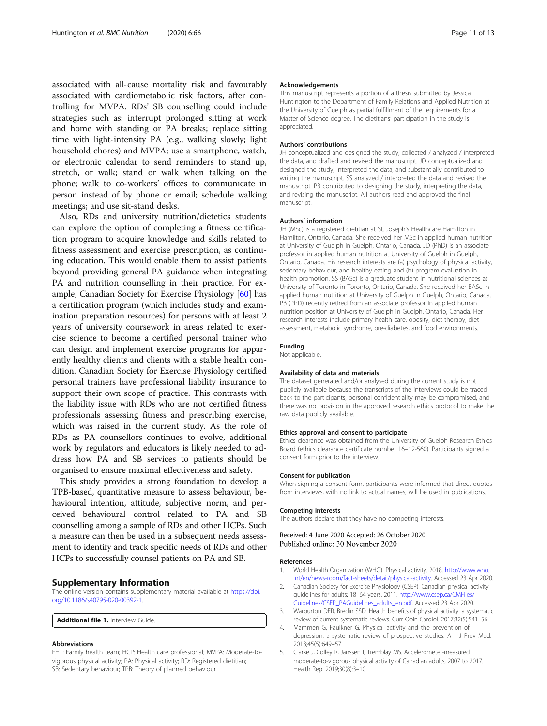<span id="page-10-0"></span>associated with all-cause mortality risk and favourably associated with cardiometabolic risk factors, after controlling for MVPA. RDs' SB counselling could include strategies such as: interrupt prolonged sitting at work and home with standing or PA breaks; replace sitting time with light-intensity PA (e.g., walking slowly; light household chores) and MVPA; use a smartphone, watch, or electronic calendar to send reminders to stand up, stretch, or walk; stand or walk when talking on the phone; walk to co-workers' offices to communicate in person instead of by phone or email; schedule walking meetings; and use sit-stand desks.

Also, RDs and university nutrition/dietetics students can explore the option of completing a fitness certification program to acquire knowledge and skills related to fitness assessment and exercise prescription, as continuing education. This would enable them to assist patients beyond providing general PA guidance when integrating PA and nutrition counselling in their practice. For example, Canadian Society for Exercise Physiology [\[60\]](#page-12-0) has a certification program (which includes study and examination preparation resources) for persons with at least 2 years of university coursework in areas related to exercise science to become a certified personal trainer who can design and implement exercise programs for apparently healthy clients and clients with a stable health condition. Canadian Society for Exercise Physiology certified personal trainers have professional liability insurance to support their own scope of practice. This contrasts with the liability issue with RDs who are not certified fitness professionals assessing fitness and prescribing exercise, which was raised in the current study. As the role of RDs as PA counsellors continues to evolve, additional work by regulators and educators is likely needed to address how PA and SB services to patients should be organised to ensure maximal effectiveness and safety.

This study provides a strong foundation to develop a TPB-based, quantitative measure to assess behaviour, behavioural intention, attitude, subjective norm, and perceived behavioural control related to PA and SB counselling among a sample of RDs and other HCPs. Such a measure can then be used in a subsequent needs assessment to identify and track specific needs of RDs and other HCPs to successfully counsel patients on PA and SB.

#### Supplementary Information

The online version contains supplementary material available at [https://doi.](https://doi.org/10.1186/s40795-020-00392-1) [org/10.1186/s40795-020-00392-1.](https://doi.org/10.1186/s40795-020-00392-1)

Additional file 1. Interview Guide.

#### Abbreviations

FHT: Family health team; HCP: Health care professional; MVPA: Moderate-tovigorous physical activity; PA: Physical activity; RD: Registered dietitian; SB: Sedentary behaviour; TPB: Theory of planned behaviour

#### Acknowledgements

This manuscript represents a portion of a thesis submitted by Jessica Huntington to the Department of Family Relations and Applied Nutrition at the University of Guelph as partial fulfillment of the requirements for a Master of Science degree. The dietitians' participation in the study is appreciated.

#### Authors' contributions

JH conceptualized and designed the study, collected / analyzed / interpreted the data, and drafted and revised the manuscript. JD conceptualized and designed the study, interpreted the data, and substantially contributed to writing the manuscript. SS analyzed / interpreted the data and revised the manuscript. PB contributed to designing the study, interpreting the data, and revising the manuscript. All authors read and approved the final manuscript.

#### Authors' information

JH (MSc) is a registered dietitian at St. Joseph's Healthcare Hamilton in Hamilton, Ontario, Canada. She received her MSc in applied human nutrition at University of Guelph in Guelph, Ontario, Canada. JD (PhD) is an associate professor in applied human nutrition at University of Guelph in Guelph, Ontario, Canada. His research interests are (a) psychology of physical activity, sedentary behaviour, and healthy eating and (b) program evaluation in health promotion. SS (BASc) is a graduate student in nutritional sciences at University of Toronto in Toronto, Ontario, Canada. She received her BASc in applied human nutrition at University of Guelph in Guelph, Ontario, Canada. PB (PhD) recently retired from an associate professor in applied human nutrition position at University of Guelph in Guelph, Ontario, Canada. Her research interests include primary health care, obesity, diet therapy, diet assessment, metabolic syndrome, pre-diabetes, and food environments.

#### Funding

Not applicable.

#### Availability of data and materials

The dataset generated and/or analysed during the current study is not publicly available because the transcripts of the interviews could be traced back to the participants, personal confidentiality may be compromised, and there was no provision in the approved research ethics protocol to make the raw data publicly available.

#### Ethics approval and consent to participate

Ethics clearance was obtained from the University of Guelph Research Ethics Board (ethics clearance certificate number 16–12-560). Participants signed a consent form prior to the interview.

#### Consent for publication

When signing a consent form, participants were informed that direct quotes from interviews, with no link to actual names, will be used in publications.

#### Competing interests

The authors declare that they have no competing interests.

Received: 4 June 2020 Accepted: 26 October 2020 Published online: 30 November 2020

#### References

- 1. World Health Organization (WHO). Physical activity. 2018. [http://www.who.](http://www.who.int/en/news-room/fact-sheets/detail/physical-activity) [int/en/news-room/fact-sheets/detail/physical-activity.](http://www.who.int/en/news-room/fact-sheets/detail/physical-activity) Accessed 23 Apr 2020.
- 2. Canadian Society for Exercise Physiology (CSEP). Canadian physical activity guidelines for adults: 18-64 years. 2011. [http://www.csep.ca/CMFiles/](http://www.csep.ca/CMFiles/Guidelines/CSEP_PAGuidelines_adults_en.pdf) [Guidelines/CSEP\\_PAGuidelines\\_adults\\_en.pdf.](http://www.csep.ca/CMFiles/Guidelines/CSEP_PAGuidelines_adults_en.pdf) Accessed 23 Apr 2020.
- 3. Warburton DER, Bredin SSD. Health benefits of physical activity: a systematic review of current systematic reviews. Curr Opin Cardiol. 2017;32(5):541–56.
- 4. Mammen G, Faulkner G. Physical activity and the prevention of depression: a systematic review of prospective studies. Am J Prev Med. 2013;45(5):649–57.
- 5. Clarke J, Colley R, Janssen I, Tremblay MS. Accelerometer-measured moderate-to-vigorous physical activity of Canadian adults, 2007 to 2017. Health Rep. 2019;30(8):3–10.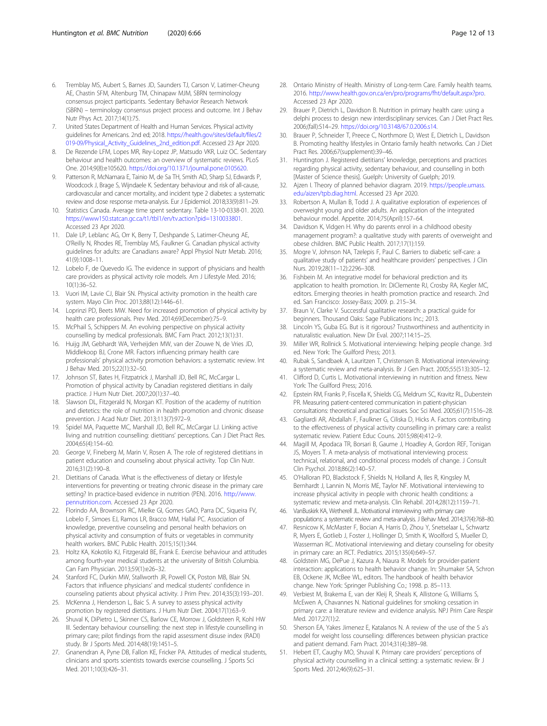- <span id="page-11-0"></span>6. Tremblay MS, Aubert S, Barnes JD, Saunders TJ, Carson V, Latimer-Cheung AE, Chastin SFM, Altenburg TM, Chinapaw MJM, SBRN terminology consensus project participants. Sedentary Behavior Research Network (SBRN) – terminology consensus project process and outcome. Int J Behav Nutr Phys Act. 2017;14(1):75.
- 7. United States Department of Health and Human Services. Physical activity guidelines for Americans. 2nd ed; 2018. [https://health.gov/sites/default/files/2](https://health.gov/sites/default/files/2019-09/Physical_Activity_Guidelines_2nd_edition.pdf) [019-09/Physical\\_Activity\\_Guidelines\\_2nd\\_edition.pdf](https://health.gov/sites/default/files/2019-09/Physical_Activity_Guidelines_2nd_edition.pdf). Accessed 23 Apr 2020.
- De Rezende LFM, Lopes MR, Rey-Lopez JP, Matsudo VKR, Luiz OC. Sedentary behaviour and health outcomes: an overview of systematic reviews. PLoS One. 2014;9(8):e105620. [https://doi.org/10.1371/journal.pone.0105620.](https://doi.org/10.1371/journal.pone.0105620)
- 9. Patterson R, McNamara E, Tainio M, de Sa TH, Smith AD, Sharp SJ, Edwards P, Woodcock J, Brage S, Wijndaele K. Sedentary behaviour and risk of all-cause, cardiovascular and cancer mortality, and incident type 2 diabetes: a systematic review and dose response meta-analysis. Eur J Epidemiol. 2018;33(9):811–29.
- 10. Statistics Canada. Average time spent sedentary. Table 13-10-0338-01. 2020. [https://www150.statcan.gc.ca/t1/tbl1/en/tv.action?pid=1310033801.](https://www150.statcan.gc.ca/t1/tbl1/en/tv.action?pid=1310033801) Accessed 23 Apr 2020.
- 11. Dale LP, Leblanc AG, Orr K, Berry T, Deshpande S, Latimer-Cheung AE, O'Reilly N, Rhodes RE, Tremblay MS, Faulkner G. Canadian physical activity guidelines for adults: are Canadians aware? Appl Physiol Nutr Metab. 2016; 41(9):1008–11.
- 12. Lobelo F, de Quevedo IG. The evidence in support of physicians and health care providers as physical activity role models. Am J Lifestyle Med. 2016; 10(1):36–52.
- 13. Vuori IM, Lavie CJ, Blair SN. Physical activity promotion in the health care system. Mayo Clin Proc. 2013;88(12):1446–61.
- 14. Loprinzi PD, Beets MW. Need for increased promotion of physical activity by health care professionals. Prev Med. 2014;69(December):75–9.
- 15. McPhail S, Schippers M. An evolving perspective on physical activity counselling by medical professionals. BMC Fam Pract. 2012;13(1):31.
- 16. Huijg JM, Gebhardt WA, Verheijden MW, van der Zouwe N, de Vries JD, Middlekoop BJ, Crone MR. Factors influencing primary health care professionals' physical activity promotion behaviors: a systematic review. Int J Behav Med. 2015;22(1):32–50.
- 17. Johnson ST, Bates H, Fitzpatrick J, Marshall JD, Bell RC, McCargar L. Promotion of physical activity by Canadian registered dietitians in daily practice. J Hum Nutr Diet. 2007;20(1):37–40.
- 18. Slawson DL, Fitzgerald N, Morgan KT. Position of the academy of nutrition and dietetics: the role of nutrition in health promotion and chronic disease prevention. J Acad Nutr Diet. 2013;113(7):972–9.
- 19. Spidel MA, Paquette MC, Marshall JD, Bell RC, McCargar LJ. Linking active living and nutrition counselling: dietitians' perceptions. Can J Diet Pract Res. 2004;65(4):154–60.
- 20. George V, Fineberg M, Marin V, Rosen A. The role of registered dietitians in patient education and counseling about physical activity. Top Clin Nutr. 2016;31(2):190–8.
- 21. Dietitians of Canada. What is the effectiveness of dietary or lifestyle interventions for preventing or treating chronic disease in the primary care setting? In practice-based evidence in nutrition (PEN). 2016. [http://www.](http://www.pennutrition.com) [pennutrition.com](http://www.pennutrition.com). Accessed 23 Apr 2020.
- 22. Florindo AA, Brownson RC, Mielke GI, Gomes GAO, Parra DC, Siqueira FV, Lobelo F, Simoes EJ, Ramos LR, Bracco MM, Hallal PC. Association of knowledge, preventive counseling and personal health behaviors on physical activity and consumption of fruits or vegetables in community health workers. BMC Public Health. 2015;15(1):344.
- 23. Holtz KA, Kokotilo KJ, Fitzgerald BE, Frank E. Exercise behaviour and attitudes among fourth-year medical students at the university of British Columbia. Can Fam Physician. 2013;59(1):e26–32.
- 24. Stanford FC, Durkin MW, Stallworth JR, Powell CK, Poston MB, Blair SN. Factors that influence physicians' and medical students' confidence in counseling patients about physical activity. J Prim Prev. 2014;35(3):193–201.
- 25. McKenna J, Henderson L, Baic S. A survey to assess physical activity promotion by registered dietitians. J Hum Nutr Diet. 2004;17(1):63–9.
- 26. Shuval K, DiPietro L, Skinner CS, Barlow CE, Morrow J, Goldsteen R, Kohl HW III. Sedentary behaviour counselling: the next step in lifestyle counselling in primary care; pilot findings from the rapid assessment disuse index (RADI) study. Br J Sports Med. 2014;48(19):1451–5.
- 27. Gnanendran A, Pyne DB, Fallon KE, Fricker PA. Attitudes of medical students, clinicians and sports scientists towards exercise counselling. J Sports Sci Med. 2011;10(3):426–31.
- 28. Ontario Ministry of Health. Ministry of Long-term Care. Family health teams. 2016. <http://www.health.gov.on.ca/en/pro/programs/fht/default.aspx?pro>. Accessed 23 Apr 2020.
- 29. Brauer P, Dietrich L, Davidson B. Nutrition in primary health care: using a delphi process to design new interdisciplinary services. Can J Diet Pract Res. 2006;(fall):S14–29. <https://doi.org/10.3148/67.0.2006.s14>.
- 30. Brauer P, Schneider T, Preece C, Northmore D, West E, Dietrich L, Davidson B. Promoting healthy lifestyles in Ontario family health networks. Can J Diet Pract Res. 2006;67(supplement):39–46.
- 31. Huntington J. Registered dietitians' knowledge, perceptions and practices regarding physical activity, sedentary behaviour, and counselling in both [Master of Science thesis]. Guelph: University of Guelph; 2019.
- 32. Ajzen I. Theory of planned behavior diagram. 2019. [https://people.umass.](https://people.umass.edu/aizen/tpb.diag.html) [edu/aizen/tpb.diag.html](https://people.umass.edu/aizen/tpb.diag.html). Accessed 23 Apr 2020.
- 33. Robertson A, Mullan B, Todd J. A qualitative exploration of experiences of overweight young and older adults. An application of the integrated behaviour model. Appetite. 2014;75(April):157–64.
- 34. Davidson K, Vidgen H. Why do parents enrol in a childhood obesity management program?: a qualitative study with parents of overweight and obese children. BMC Public Health. 2017;17(1):159.
- 35. Mogre V, Johnson NA, Tzelepis F, Paul C. Barriers to diabetic self-care: a qualitative study of patients' and healthcare providers' perspectives. J Clin Nurs. 2019;28(11–12):2296–308.
- 36. Fishbein M. An integrative model for behavioral prediction and its application to health promotion. In: DiClemente RJ, Crosby RA, Kegler MC, editors. Emerging theories in health promotion practice and research. 2nd ed. San Francisco: Jossey-Bass; 2009. p. 215–34.
- 37. Braun V, Clarke V. Successful qualitative research: a practical guide for beginners. Thousand Oaks: Sage Publications Inc.; 2013.
- 38. Lincoln YS, Guba EG. But is it rigorous? Trustworthiness and authenticity in naturalistic evaluation. New Dir Eval. 2007;114:15–25.
- 39. Miller WR, Rollnick S. Motivational interviewing: helping people change. 3rd ed. New York: The Guilford Press; 2013.
- 40. Rubak S, Sandbaek A, Lauritzen T, Christensen B. Motivational interviewing: a systematic review and meta-analysis. Br J Gen Pract. 2005;55(513):305–12.
- 41. Clifford D, Curtis L. Motivational interviewing in nutrition and fitness. New York: The Guilford Press; 2016.
- 42. Epstein RM, Franks P, Fiscella K, Shields CG, Meldrum SC, Kravitz RL, Duberstein PR. Measuring patient-centered communication in patient-physician consultations: theoretical and practical issues. Soc Sci Med. 2005;61(7):1516–28.
- 43. Gagliardi AR, Abdallah F, Faulkner G, Ciliska D, Hicks A. Factors contributing to the effectiveness of physical activity counselling in primary care: a realist systematic review. Patient Educ Couns. 2015;98(4):412–9.
- 44. Magill M, Apodaca TR, Borsari B, Gaume J, Hoadley A, Gordon REF, Tonigan JS, Moyers T. A meta-analysis of motivational interviewing process: technical, relational, and conditional process models of change. J Consult Clin Psychol. 2018;86(2):140–57.
- 45. O'Halloran PD, Blackstock F, Shields N, Holland A, Iles R, Kingsley M, Bernhardt J, Lannin N, Morris ME, Taylor NF. Motivational interviewing to increase physical activity in people with chronic health conditions: a systematic review and meta-analysis. Clin Rehabil. 2014;28(12):1159–71.
- 46. VanBuskirk KA, Wetherell JL. Motivational interviewing with primary care populations: a systematic review and meta-analysis. J Behav Med. 2014;37(4):768–80.
- 47. Resnicow K, McMaster F, Bocian A, Harris D, Zhou Y, Snetselaar L, Schwartz R, Myers E, Gotlieb J, Foster J, Hollinger D, Smith K, Woolford S, Mueller D, Wasserman RC. Motivational interviewing and dietary counseling for obesity in primary care: an RCT. Pediatrics. 2015;135(4):649–57.
- 48. Goldstein MG, DePue J, Kazura A, Niaura R. Models for provider-patient interaction: applications to health behavior change. In: Shumaker SA, Schron EB, Ockene JK, McBee WL, editors. The handbook of health behavior change. New York: Springer Publishing Co.; 1998. p. 85–113.
- 49. Verbiest M, Brakema E, van der Kleij R, Sheals K, Allistone G, Williams S, McEwen A, Chavannes N. National guidelines for smoking cessation in primary care: a literature review and evidence analysis. NPJ Prim Care Respir Med. 2017;27(1):2.
- 50. Sherson EA, Yakes Jimenez E, Katalanos N. A review of the use of the 5 a's model for weight loss counselling: differences between physician practice and patient demand. Fam Pract. 2014;31(4):389–98.
- 51. Hebert ET, Caughy MO, Shuval K. Primary care providers' perceptions of physical activity counselling in a clinical setting: a systematic review. Br J Sports Med. 2012;46(9):625–31.